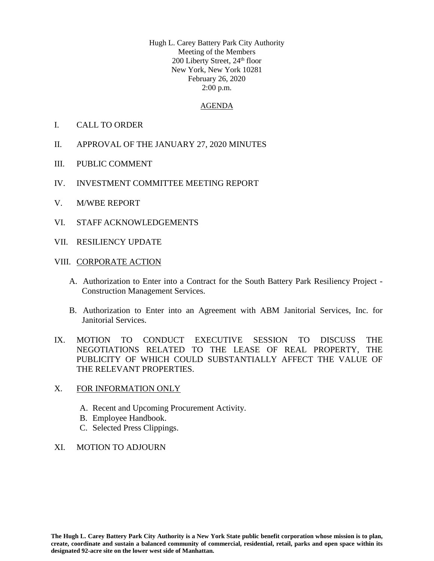Hugh L. Carey Battery Park City Authority Meeting of the Members 200 Liberty Street, 24<sup>th</sup> floor New York, New York 10281 February 26, 2020 2:00 p.m.

### AGENDA

- I. CALL TO ORDER
- II. APPROVAL OF THE JANUARY 27, 2020 MINUTES
- III. PUBLIC COMMENT
- IV. INVESTMENT COMMITTEE MEETING REPORT
- V. M/WBE REPORT
- VI. STAFF ACKNOWLEDGEMENTS
- VII. RESILIENCY UPDATE

### VIII. CORPORATE ACTION

- A. Authorization to Enter into a Contract for the South Battery Park Resiliency Project Construction Management Services.
- B. Authorization to Enter into an Agreement with ABM Janitorial Services, Inc. for Janitorial Services.
- IX. MOTION TO CONDUCT EXECUTIVE SESSION TO DISCUSS THE NEGOTIATIONS RELATED TO THE LEASE OF REAL PROPERTY, THE PUBLICITY OF WHICH COULD SUBSTANTIALLY AFFECT THE VALUE OF THE RELEVANT PROPERTIES.

### X. FOR INFORMATION ONLY

- A. Recent and Upcoming Procurement Activity.
- B. Employee Handbook.
- C. Selected Press Clippings.
- XI. MOTION TO ADJOURN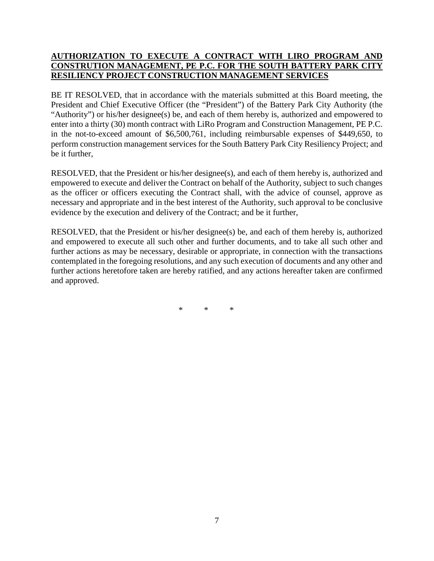# **AUTHORIZATION TO EXECUTE A CONTRACT WITH LIRO PROGRAM AND CONSTRUTION MANAGEMENT, PE P.C. FOR THE SOUTH BATTERY PARK CITY RESILIENCY PROJECT CONSTRUCTION MANAGEMENT SERVICES**

BE IT RESOLVED, that in accordance with the materials submitted at this Board meeting, the President and Chief Executive Officer (the "President") of the Battery Park City Authority (the "Authority") or his/her designee(s) be, and each of them hereby is, authorized and empowered to enter into a thirty (30) month contract with LiRo Program and Construction Management, PE P.C. in the not-to-exceed amount of \$6,500,761, including reimbursable expenses of \$449,650, to perform construction management services for the South Battery Park City Resiliency Project; and be it further,

RESOLVED, that the President or his/her designee(s), and each of them hereby is, authorized and empowered to execute and deliver the Contract on behalf of the Authority, subject to such changes as the officer or officers executing the Contract shall, with the advice of counsel, approve as necessary and appropriate and in the best interest of the Authority, such approval to be conclusive evidence by the execution and delivery of the Contract; and be it further,

RESOLVED, that the President or his/her designee(s) be, and each of them hereby is, authorized and empowered to execute all such other and further documents, and to take all such other and further actions as may be necessary, desirable or appropriate, in connection with the transactions contemplated in the foregoing resolutions, and any such execution of documents and any other and further actions heretofore taken are hereby ratified, and any actions hereafter taken are confirmed and approved.

\* \* \*